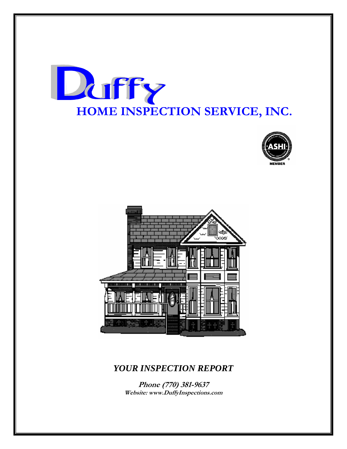





## *YOUR INSPECTION REPORT*

**Phone (770) 381-9637 Website: www.DuffyInspections.com**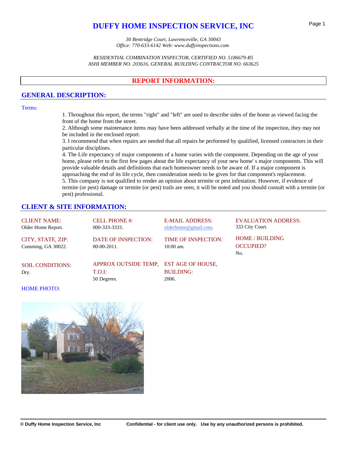## **DUFFY HOME INSPECTION SERVICE, INC**

*30 Bentridge Court, Lawrenceville, GA 30043 Office: 770-633-6142 Web: www.duffyinspections.com* 

*RESIDENTIAL COMBINATION INSPECTOR, CERTIFIED NO. 5186679-R5 ASHI MEMBER NO. 203616, GENERAL BUILDING CONTRACTOR NO. 663625*

## **REPORT INFORMATION:**

## **GENERAL DESCRIPTION:**

#### Terms:

1. Throughout this report, the terms "right" and "left" are used to describe sides of the home as viewed facing the front of the home from the street.

2. Although some maintenance items may have been addressed verbally at the time of the inspection, they may not be included in the enclosed report.

3. I recommend that when repairs are needed that all repairs be performed by qualified, licensed contractors in their particular disciplines.

4. The Life expectancy of major components of a home varies with the component. Depending on the age of your home, please refer to the first few pages about the life expectancy of your new home' s major components. This will provide valuable details and definitions that each homeowner needs to be aware of. If a major component is approaching the end of its life cycle, then consideration needs to be given for that component's replacement. 5. This company is not qualified to render an opinion about termite or pest infestation. However, if evidence of termite (or pest) damage or termite (or pest) trails are seen, it will be noted and you should consult with a termite (or pest) professional.

## **CLIENT & SITE INFORMATION:**

| <b>CLIENT NAME:</b><br>Older Home Report. | <b>CELL PHONE #:</b><br>000-333-3333.                           | <b>E-MAIL ADDRESS:</b><br>olderhome@gmail.com. | <b>EVALUATION ADDRESS:</b><br>333 City Court. |
|-------------------------------------------|-----------------------------------------------------------------|------------------------------------------------|-----------------------------------------------|
| CITY, STATE, ZIP:<br>Cumming, GA 30022.   | <b>DATE OF INSPECTION:</b><br>$00-00-2011$ .                    | <b>TIME OF INSPECTION:</b><br>$10:00$ am.      | HOME / BUILDING<br><b>OCCUPIED?</b><br>No.    |
| <b>SOIL CONDITIONS:</b><br>Dry.           | APPROX OUTSIDE TEMP, EST AGE OF HOUSE,<br>T.O.I:<br>50 Degrees. | <b>BUILDING:</b><br>2006.                      |                                               |

#### HOME PHOTO:

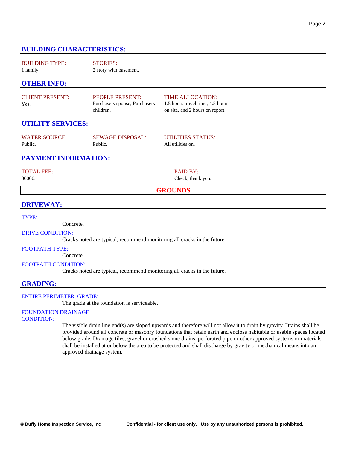## **BUILDING CHARACTERISTICS:**

BUILDING TYPE: 1 family. STORIES: 2 story with basement.

## **OTHER INFO:**

| <b>CLIENT PRESENT:</b> | <b>PEOPLE PRESENT:</b>        | TI  |
|------------------------|-------------------------------|-----|
| Yes.                   | Purchasers spouse, Purchasers |     |
|                        | children.                     | on. |

ME ALLOCATION: hours travel time; 4.5 hours site, and 2 hours on report.

## **UTILITY SERVICES:**

| <b>WATER SOURCE:</b> | <b>SEWAGE DISPOSAL:</b> | UTILITIES STATUS: |
|----------------------|-------------------------|-------------------|
| Public.              | Public.                 | All utilities on. |

## **PAYMENT INFORMATION:**

#### TOTAL FEE:

00000.

PAID BY: Check, thank you.

#### **GROUNDS**

#### **DRIVEWAY:**

#### TYPE:

Concrete.

#### DRIVE CONDITION:

Cracks noted are typical, recommend monitoring all cracks in the future.

#### FOOTPATH TYPE:

Concrete.

#### FOOTPATH CONDITION:

Cracks noted are typical, recommend monitoring all cracks in the future.

#### **GRADING:**

#### ENTIRE PERIMETER, GRADE:

The grade at the foundation is serviceable.

## FOUNDATION DRAINAGE

#### CONDITION:

The visible drain line end(s) are sloped upwards and therefore will not allow it to drain by gravity. Drains shall be provided around all concrete or masonry foundations that retain earth and enclose habitable or usable spaces located below grade. Drainage tiles, gravel or crushed stone drains, perforated pipe or other approved systems or materials shall be installed at or below the area to be protected and shall discharge by gravity or mechanical means into an approved drainage system.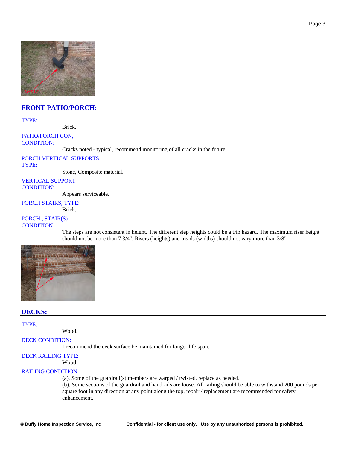

## **FRONT PATIO/PORCH:**

#### TYPE:

Brick.

#### PATIO/PORCH CON, CONDITION:

Cracks noted - typical, recommend monitoring of all cracks in the future.

PORCH VERTICAL SUPPORTS TYPE:

Stone, Composite material.

#### VERTICAL SUPPORT CONDITION:

Appears serviceable.

### PORCH STAIRS, TYPE:

Brick.

## PORCH , STAIR(S)

### CONDITION:

The steps are not consistent in height. The different step heights could be a trip hazard. The maximum riser height should not be more than 7 3/4". Risers (heights) and treads (widths) should not vary more than 3/8".



## **DECKS:**

#### TYPE:

Wood.

## DECK CONDITION:

I recommend the deck surface be maintained for longer life span.

#### DECK RAILING TYPE:

Wood.

### RAILING CONDITION:

(a). Some of the guardrail(s) members are warped / twisted, replace as needed.

(b). Some sections of the guardrail and handrails are loose. All railing should be able to withstand 200 pounds per square foot in any direction at any point along the top, repair / replacement are recommended for safety enhancement.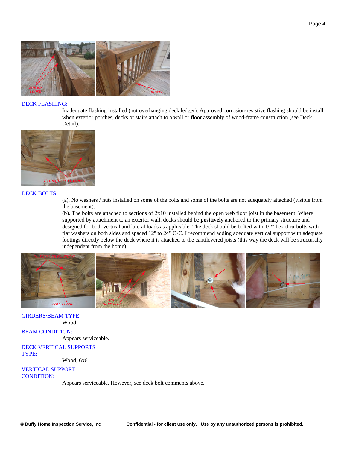

#### DECK FLASHING:

Inadequate flashing installed (not overhanging deck ledger). Approved corrosion-resistive flashing should be install when exterior porches, decks or stairs attach to a wall or floor assembly of wood-frame construction (see Deck Detail).



#### DECK BOLTS:

(a). No washers / nuts installed on some of the bolts and some of the bolts are not adequately attached (visible from the basement).

(b). The bolts are attached to sections of  $2x10$  installed behind the open web floor joist in the basement. Where supported by attachment to an exterior wall, decks should be **positively** anchored to the primary structure and designed for both vertical and lateral loads as applicable. The deck should be bolted with 1/2" hex thru-bolts with flat washers on both sides and spaced 12'' to 24" O/C. I recommend adding adequate vertical support with adequate footings directly below the deck where it is attached to the cantilevered joists (this way the deck will be structurally independent from the home).



#### GIRDERS/BEAM TYPE: Wood.

BEAM CONDITION:

Appears serviceable.

DECK VERTICAL SUPPORTS TYPE:

Wood, 6x6.

VERTICAL SUPPORT CONDITION:

Appears serviceable. However, see deck bolt comments above.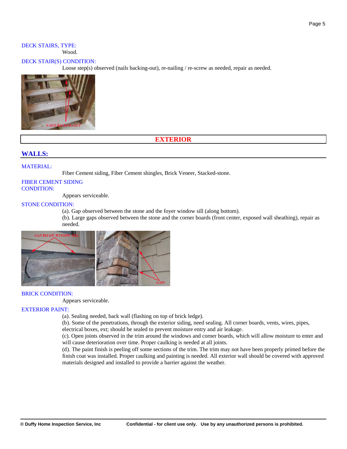#### DECK STAIRS, TYPE: Wood.

#### DECK STAIR(S) CONDITION:

Loose step(s) observed (nails backing-out), re-nailing / re-screw as needed, repair as needed.



## **EXTERIOR**

## **WALLS:**

#### MATERIAL:

Fiber Cement siding, Fiber Cement shingles, Brick Veneer, Stacked-stone.

### FIBER CEMENT SIDING CONDITION:

Appears serviceable.

#### STONE CONDITION:

(a). Gap observed between the stone and the foyer window sill (along bottom).

(b). Large gaps observed between the stone and the corner boards (front center, exposed wall sheathing), repair as needed.



## BRICK CONDITION:

Appears serviceable.

#### EXTERIOR PAINT:

(a). Sealing needed, back wall (flashing on top of brick ledge).

(b). Some of the penetrations, through the exterior siding, need sealing. All corner boards, vents, wires, pipes,

electrical boxes, ext; should be sealed to prevent moisture entry and air leakage.

(c). Open joints observed in the trim around the windows and corner boards, which will allow moisture to enter and will cause deterioration over time. Proper caulking is needed at all joints.

(d). The paint finish is peeling off some sections of the trim. The trim may not have been properly primed before the finish coat was installed. Proper caulking and painting is needed. All exterior wall should be covered with approved materials designed and installed to provide a barrier against the weather.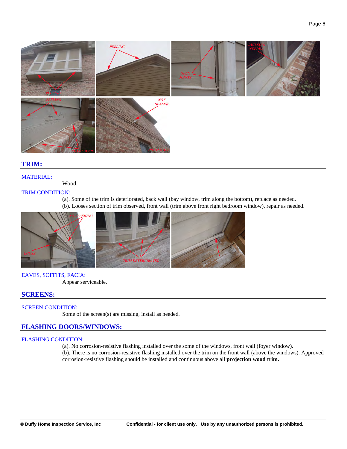

## **TRIM:**

#### MATERIAL:

Wood.

#### TRIM CONDITION:

(a). Some of the trim is deteriorated, back wall (bay window, trim along the bottom), replace as needed. (b). Looses section of trim observed, front wall (trim above front right bedroom window), repair as needed.



#### EAVES, SOFFITS, FACIA:

Appear serviceable.

## **SCREENS:**

#### SCREEN CONDITION:

Some of the screen(s) are missing, install as needed.

## **FLASHING DOORS/WINDOWS:**

#### FLASHING CONDITION:

(a). No corrosion-resistive flashing installed over the some of the windows, front wall (foyer window).

(b). There is no corrosion-resistive flashing installed over the trim on the front wall (above the windows). Approved corrosion-resistive flashing should be installed and continuous above all **projection wood trim.**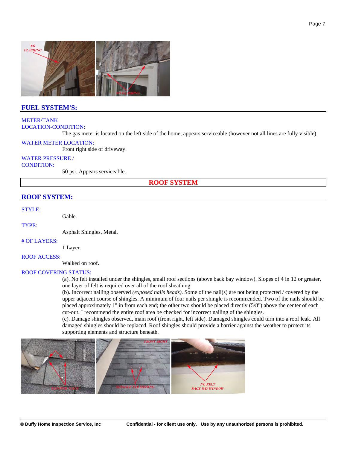

## **FUEL SYSTEM'S:**

### METER/TANK LOCATION-CONDITION:

The gas meter is located on the left side of the home, appears serviceable (however not all lines are fully visible).

#### WATER METER LOCATION:

Front right side of driveway.

## WATER PRESSURE /

CONDITION:

50 psi. Appears serviceable.

**ROOF SYSTEM**

## **ROOF SYSTEM:**

#### STYLE:

Gable.

TYPE:

Asphalt Shingles, Metal.

#### # OF LAYERS:

1 Layer.

ROOF ACCESS:

Walked on roof.

#### ROOF COVERING STATUS:

(a). No felt installed under the shingles, small roof sections (above back bay window). Slopes of 4 in 12 or greater, one layer of felt is required over all of the roof sheathing.

(b). Incorrect nailing observed *(exposed nails heads)*. Some of the nail(s) are not being protected / covered by the upper adjacent course of shingles. A minimum of four nails per shingle is recommended. Two of the nails should be placed approximately 1'' in from each end; the other two should be placed directly (5/8") above the center of each cut-out. I recommend the entire roof area be checked for incorrect nailing of the shingles.

(c). Damage shingles observed, main roof (front right, left side). Damaged shingles could turn into a roof leak. All damaged shingles should be replaced. Roof shingles should provide a barrier against the weather to protect its supporting elements and structure beneath.

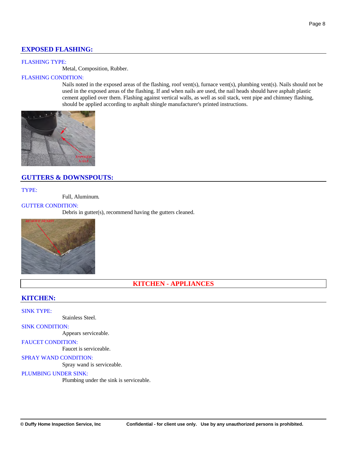## **EXPOSED FLASHING:**

### FLASHING TYPE:

Metal, Composition, Rubber.

## FLASHING CONDITION:

Nails noted in the exposed areas of the flashing, roof vent(s), furnace vent(s), plumbing vent(s). Nails should not be used in the exposed areas of the flashing. If and when nails are used, the nail heads should have asphalt plastic cement applied over them. Flashing against vertical walls, as well as soil stack, vent pipe and chimney flashing, should be applied according to asphalt shingle manufacturer's printed instructions.



## **GUTTERS & DOWNSPOUTS:**

TYPE:

Full, Aluminum.

## GUTTER CONDITION:

Debris in gutter(s), recommend having the gutters cleaned.



## **KITCHEN - APPLIANCES**

## **KITCHEN:**

SINK TYPE:

Stainless Steel.

#### SINK CONDITION:

Appears serviceable.

#### FAUCET CONDITION:

Faucet is serviceable.

#### SPRAY WAND CONDITION:

Spray wand is serviceable.

#### PLUMBING UNDER SINK:

Plumbing under the sink is serviceable.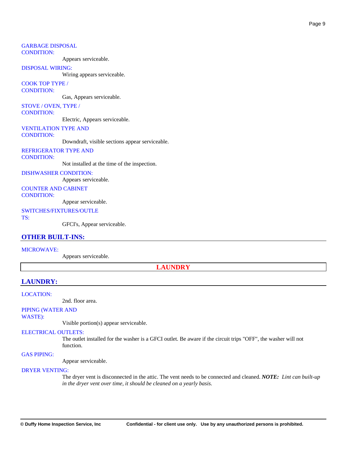#### GARBAGE DISPOSAL CONDITION:

Appears serviceable.

#### DISPOSAL WIRING:

Wiring appears serviceable.

#### COOK TOP TYPE / CONDITION:

Gas, Appears serviceable.

## STOVE / OVEN, TYPE /

CONDITION:

Electric, Appears serviceable.

#### VENTILATION TYPE AND

CONDITION:

Downdraft, visible sections appear serviceable.

#### REFRIGERATOR TYPE AND CONDITION:

Not installed at the time of the inspection.

#### DISHWASHER CONDITION:

Appears serviceable.

## COUNTER AND CABINET

CONDITION:

Appear serviceable.

#### SWITCHES/FIXTURES/OUTLE

TS:

GFCI's, Appear serviceable.

#### **OTHER BUILT-INS:**

#### MICROWAVE:

Appears serviceable.

**LAUNDRY**

## **LAUNDRY:**

#### LOCATION:

2nd. floor area.

## PIPING (WATER AND

WASTE):

Visible portion(s) appear serviceable.

#### ELECTRICAL OUTLETS:

The outlet installed for the washer is a GFCI outlet. Be aware if the circuit trips "OFF", the washer will not function.

#### GAS PIPING:

Appear serviceable.

#### DRYER VENTING:

The dryer vent is disconnected in the attic. The vent needs to be connected and cleaned. *NOTE: Lint can built-up in the dryer vent over time, it should be cleaned on a yearly basis.*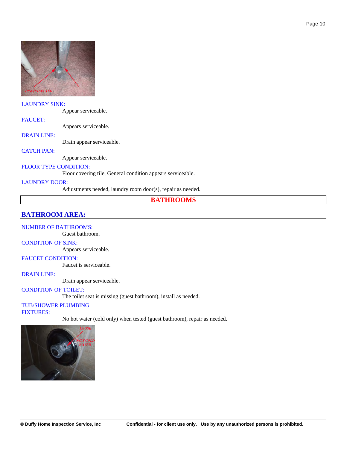

### LAUNDRY SINK:

Appear serviceable.

FAUCET:

Appears serviceable.

#### DRAIN LINE:

Drain appear serviceable.

#### CATCH PAN:

Appear serviceable.

## FLOOR TYPE CONDITION:

Floor covering tile, General condition appears serviceable.

#### LAUNDRY DOOR:

Adjustments needed, laundry room door(s), repair as needed.

#### **BATHROOMS**

## **BATHROOM AREA:**

#### NUMBER OF BATHROOMS:

Guest bathroom.

## CONDITION OF SINK:

Appears serviceable.

## FAUCET CONDITION:

Faucet is serviceable.

#### DRAIN LINE:

Drain appear serviceable.

## CONDITION OF TOILET:

The toilet seat is missing (guest bathroom), install as needed.

## TUB/SHOWER PLUMBING

FIXTURES:

No hot water (cold only) when tested (guest bathroom), repair as needed.

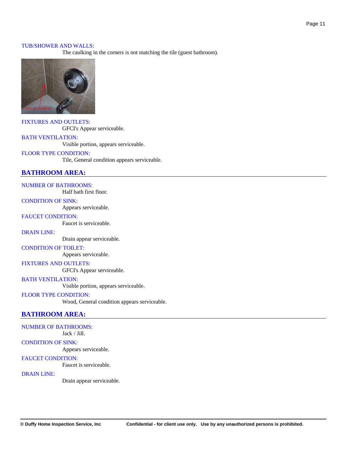#### TUB/SHOWER AND WALLS:

The caulking in the corners is not matching the tile (guest bathroom).



FIXTURES AND OUTLETS: GFCI's Appear serviceable.

#### BATH VENTILATION:

Visible portion, appears serviceable.

#### FLOOR TYPE CONDITION:

Tile, General condition appears serviceable.

## **BATHROOM AREA:**

NUMBER OF BATHROOMS:

Half bath first floor.

### CONDITION OF SINK:

Appears serviceable.

### FAUCET CONDITION:

Faucet is serviceable.

DRAIN LINE:

Drain appear serviceable.

#### CONDITION OF TOILET:

Appears serviceable.

#### FIXTURES AND OUTLETS:

GFCI's Appear serviceable.

BATH VENTILATION: Visible portion, appears serviceable.

#### FLOOR TYPE CONDITION:

Wood, General condition appears serviceable.

## **BATHROOM AREA:**

#### NUMBER OF BATHROOMS:

Jack / Jill.

#### CONDITION OF SINK:

Appears serviceable.

#### FAUCET CONDITION:

Faucet is serviceable.

#### DRAIN LINE:

Drain appear serviceable.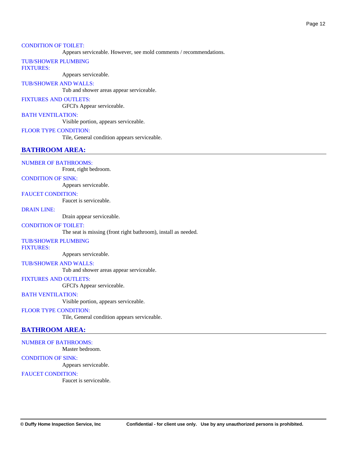#### CONDITION OF TOILET:

Appears serviceable. However, see mold comments / recommendations.

#### TUB/SHOWER PLUMBING FIXTURES:

Appears serviceable.

#### TUB/SHOWER AND WALLS:

Tub and shower areas appear serviceable.

#### FIXTURES AND OUTLETS:

GFCI's Appear serviceable.

#### BATH VENTILATION:

Visible portion, appears serviceable.

#### FLOOR TYPE CONDITION:

Tile, General condition appears serviceable.

## **BATHROOM AREA:**

#### NUMBER OF BATHROOMS:

Front, right bedroom.

#### CONDITION OF SINK:

Appears serviceable.

## FAUCET CONDITION:

Faucet is serviceable.

#### DRAIN LINE:

Drain appear serviceable.

#### CONDITION OF TOILET:

The seat is missing (front right bathroom), install as needed.

#### TUB/SHOWER PLUMBING

FIXTURES:

Appears serviceable.

#### TUB/SHOWER AND WALLS:

Tub and shower areas appear serviceable.

## FIXTURES AND OUTLETS:

GFCI's Appear serviceable.

#### BATH VENTILATION:

Visible portion, appears serviceable.

#### FLOOR TYPE CONDITION:

Tile, General condition appears serviceable.

## **BATHROOM AREA:**

### NUMBER OF BATHROOMS:

Master bedroom.

#### CONDITION OF SINK:

Appears serviceable.

## FAUCET CONDITION:

Faucet is serviceable.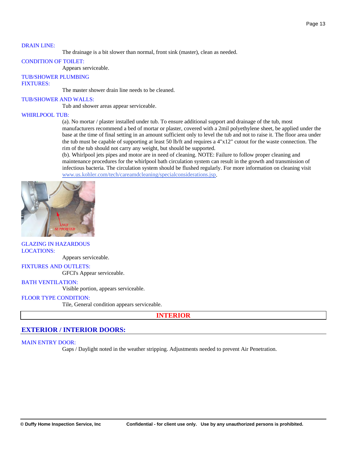#### DRAIN LINE:

The drainage is a bit slower than normal, front sink (master), clean as needed.

#### CONDITION OF TOILET:

Appears serviceable.

TUB/SHOWER PLUMBING FIXTURES:

The master shower drain line needs to be cleaned.

#### TUB/SHOWER AND WALLS:

Tub and shower areas appear serviceable.

#### WHIRLPOOL TUB:

(a). No mortar / plaster installed under tub. To ensure additional support and drainage of the tub, most manufacturers recommend a bed of mortar or plaster, covered with a 2mil polyethylene sheet, be applied under the base at the time of final setting in an amount sufficient only to level the tub and not to raise it. The floor area under the tub must be capable of supporting at least 50 lb/ft and requires a 4"x12" cutout for the waste connection. The rim of the tub should not carry any weight, but should be supported.

(b). Whirlpool jets pipes and motor are in need of cleaning. NOTE: Failure to follow proper cleaning and maintenance procedures for the whirlpool bath circulation system can result in the growth and transmission of infectious bacteria. The circulation system should be flushed regularly. For more information on cleaning visit [www.us.kohler.com/tech/careamdcleaning/specialconsiderations.jsp.](http://www.us.kohler.com/tech/careamdcleaning/specialconsiderations.jsp)



#### GLAZING IN HAZARDOUS LOCATIONS:

Appears serviceable.

#### FIXTURES AND OUTLETS:

GFCI's Appear serviceable.

#### BATH VENTILATION:

Visible portion, appears serviceable.

#### FLOOR TYPE CONDITION:

Tile, General condition appears serviceable.

#### **INTERIOR**

#### **EXTERIOR / INTERIOR DOORS:**

#### MAIN ENTRY DOOR:

Gaps / Daylight noted in the weather stripping. Adjustments needed to prevent Air Penetration.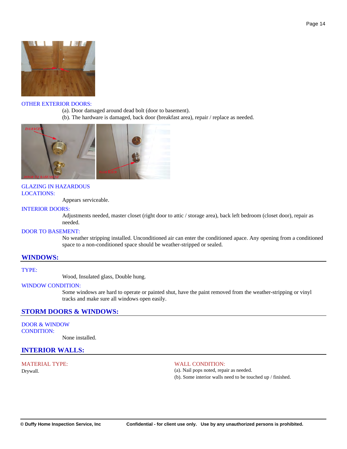

#### OTHER EXTERIOR DOORS:

- (a). Door damaged around dead bolt (door to basement).
- (b). The hardware is damaged, back door (breakfast area), repair / replace as needed.



### GLAZING IN HAZARDOUS LOCATIONS:

Appears serviceable.

#### INTERIOR DOORS:

Adjustments needed, master closet (right door to attic / storage area), back left bedroom (closet door), repair as needed.

#### DOOR TO BASEMENT:

No weather stripping installed. Unconditioned air can enter the conditioned apace. Any opening from a conditioned space to a non-conditioned space should be weather-stripped or sealed.

#### **WINDOWS:**

TYPE:

Wood, Insulated glass, Double hung.

#### WINDOW CONDITION:

Some windows are hard to operate or painted shut, have the paint removed from the weather-stripping or vinyl tracks and make sure all windows open easily.

## **STORM DOORS & WINDOWS:**

DOOR & WINDOW CONDITION:

None installed.

#### **INTERIOR WALLS:**

MATERIAL TYPE: Drywall.

#### WALL CONDITION:

(a). Nail pops noted, repair as needed.

(b). Some interior walls need to be touched up / finished.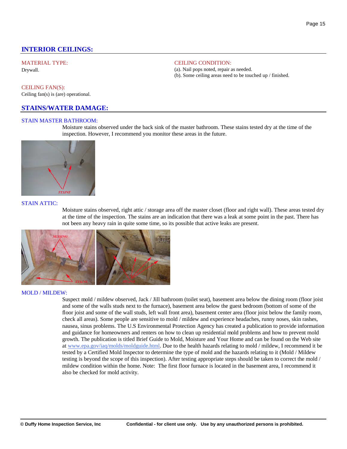## **INTERIOR CEILINGS:**

## MATERIAL TYPE:

Drywall.

#### CEILING FAN(S):

Ceiling fan(s) is (are) operational.

## **STAINS/WATER DAMAGE:**

#### STAIN MASTER BATHROOM:

Moisture stains observed under the back sink of the master bathroom. These stains tested dry at the time of the inspection. However, I recommend you monitor these areas in the future.

CEILING CONDITION:

(a). Nail pops noted, repair as needed.

(b). Some ceiling areas need to be touched up / finished.



#### STAIN ATTIC:

Moisture stains observed, right attic / storage area off the master closet (floor and right wall). These areas tested dry at the time of the inspection. The stains are an indication that there was a leak at some point in the past. There has not been any heavy rain in quite some time, so its possible that active leaks are present.



#### MOLD / MILDEW:

Suspect mold / mildew observed, Jack / Jill bathroom (toilet seat), basement area below the dining room (floor joist and some of the walls studs next to the furnace), basement area below the guest bedroom (bottom of some of the floor joist and some of the wall studs, left wall front area), basement center area (floor joist below the family room, check all areas). Some people are sensitive to mold / mildew and experience headaches, runny noses, skin rashes, nausea, sinus problems. The U.S Environmental Protection Agency has created a publication to provide information and guidance for homeowners and renters on how to clean up residential mold problems and how to prevent mold growth. The publication is titled Brief Guide to Mold, Moisture and Your Home and can be found on the Web site at [www.epa.gov/iaq/molds/moldguide.html](http://www.epa.gov/iaq/molds/moldguide.html). Due to the health hazards relating to mold / mildew, I recommend it be tested by a Certified Mold Inspector to determine the type of mold and the hazards relating to it (Mold / Mildew testing is beyond the scope of this inspection). After testing appropriate steps should be taken to correct the mold / mildew condition within the home. Note: The first floor furnace is located in the basement area, I recommend it also be checked for mold activity.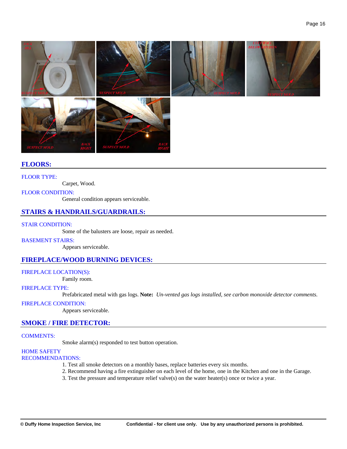

## **FLOORS:**

#### FLOOR TYPE:

Carpet, Wood.

#### FLOOR CONDITION:

General condition appears serviceable.

## **STAIRS & HANDRAILS/GUARDRAILS:**

#### STAIR CONDITION:

Some of the balusters are loose*,* repair as needed.

BASEMENT STAIRS:

Appears serviceable.

## **FIREPLACE/WOOD BURNING DEVICES:**

## FIREPLACE LOCATION(S):

Family room.

#### FIREPLACE TYPE:

Prefabricated metal with gas logs. **Note:** *Un-vented gas logs installed, see carbon monoxide detector comments.* 

#### FIREPLACE CONDITION:

Appears serviceable.

#### **SMOKE / FIRE DETECTOR:**

#### COMMENTS:

Smoke alarm(s) responded to test button operation.

#### HOME SAFETY RECOMMENDATIONS:

- 1. Test all smoke detectors on a monthly bases, replace batteries every six months.
- 2. Recommend having a fire extinguisher on each level of the home, one in the Kitchen and one in the Garage.
- 3. Test the pressure and temperature relief valve(s) on the water heater(s) once or twice a year.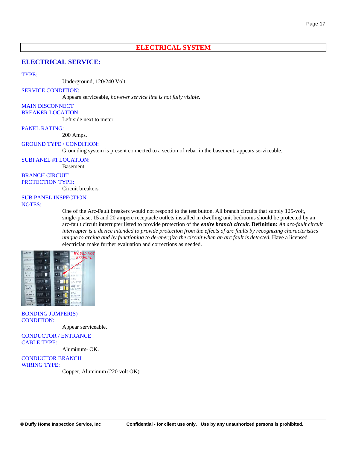## **ELECTRICAL SYSTEM**

## **ELECTRICAL SERVICE:**

#### TYPE:

Underground, 120/240 Volt.

SERVICE CONDITION:

Appears serviceable, *however service line is not fully visible*.

MAIN DISCONNECT BREAKER LOCATION:

Left side next to meter.

PANEL RATING:

200 Amps.

Basement.

#### GROUND TYPE / CONDITION:

Grounding system is present connected to a section of rebar in the basement, appears serviceable.

SUBPANEL #1 LOCATION:

BRANCH CIRCUIT PROTECTION TYPE:

Circuit breakers.

# SUB PANEL INSPECTION

NOTES:

One of the Arc-Fault breakers would not respond to the test button. All branch circuits that supply 125-volt, single-phase, 15 and 20 ampere receptacle outlets installed in dwelling unit bedrooms should be protected by an arc-fault circuit interrupter listed to provide protection of the *entire branch circuit*. **Definition:** *An arc-fault circuit interrupter is a device intended to provide protection from the effects of arc faults by recognizing characteristics unique to arcing and by functioning to de-energize the circuit when an arc fault is detected.* Have a licensed electrician make further evaluation and corrections as needed.



BONDING JUMPER(S) CONDITION:

Appear serviceable.

CONDUCTOR / ENTRANCE CABLE TYPE:

Aluminum- OK.

CONDUCTOR BRANCH WIRING TYPE:

Copper, Aluminum (220 volt OK).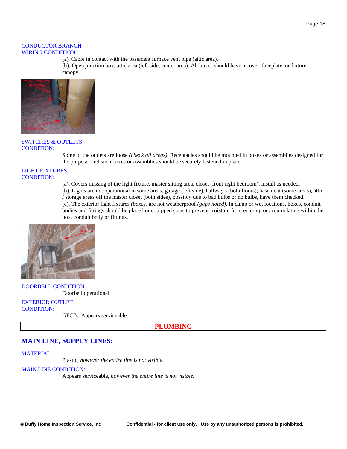#### CONDUCTOR BRANCH WIRING CONDITION:

(a). Cable in contact with the basement furnace vent pipe (attic area).

(b). Open junction box, attic area (left side, center area). All boxes should have a cover, faceplate, or fixture canopy.



#### SWITCHES & OUTLETS CONDITION:

Some of the outlets are loose *(check all areas)*. Receptacles should be mounted in boxes or assemblies designed for the purpose, and such boxes or assemblies should be securely fastened in place.

#### LIGHT FIXTURES CONDITION:

(a). Covers missing of the light fixture, master sitting area, closet (front right bedroom), install as needed.

(b). Lights are not operational in some areas, garage (left side), hallway's (both floors), basement (some areas), attic / storage areas off the master closet (both sides), possibly due to bad bulbs or no bulbs, have them checked. (c). The exterior light fixtures *(boxes)* are not weatherproof *(gaps noted)*. In damp or wet locations, boxes, conduit bodies and fittings should be placed or equipped so as to prevent moisture from entering or accumulating within the

box, conduit body or fittings.



DOORBELL CONDITION: Doorbell operational.

#### EXTERIOR OUTLET CONDITION:

GFCI's, Appears serviceable.

**PLUMBING**

## **MAIN LINE, SUPPLY LINES:**

#### MATERIAL:

Plastic, *however the entire line is not visible.*

#### MAIN LINE CONDITION:

Appears serviceable, *however the entire line is not visible.*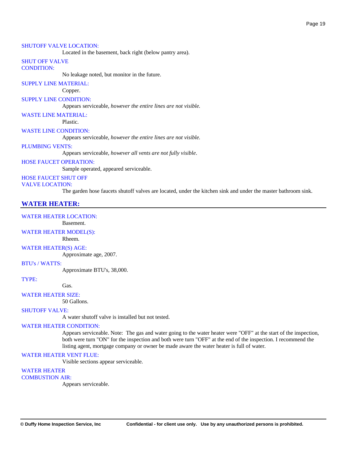#### SHUTOFF VALVE LOCATION:

Located in the basement, back right (below pantry area).

## SHUT OFF VALVE

CONDITION:

No leakage noted, but monitor in the future.

SUPPLY LINE MATERIAL:

#### Copper.

#### SUPPLY LINE CONDITION:

Appears serviceable, *however the entire lines are not visible.*

#### WASTE LINE MATERIAL:

Plastic.

WASTE LINE CONDITION:

Appears serviceable, *however the entire lines are not visible.*

#### PLUMBING VENTS:

Appears serviceable, *however all vents are not fully visible*.

#### HOSE FAUCET OPERATION:

Sample operated, appeared serviceable.

#### HOSE FAUCET SHUT OFF VALVE LOCATION:

The garden hose faucets shutoff valves are located, under the kitchen sink and under the master bathroom sink.

#### **WATER HEATER:**

#### WATER HEATER LOCATION:

Basement.

#### WATER HEATER MODEL(S):

Rheem.

#### WATER HEATER(S) AGE:

Approximate age, 2007.

#### BTU's / WATTS:

Approximate BTU's, 38,000.

TYPE:

Gas.

#### WATER HEATER SIZE:

50 Gallons.

#### SHUTOFF VALVE:

A water shutoff valve is installed but not tested.

#### WATER HEATER CONDITION:

Appears serviceable. Note: The gas and water going to the water heater were "OFF" at the start of the inspection, both were turn "ON" for the inspection and both were turn "OFF" at the end of the inspection. I recommend the listing agent, mortgage company or owner be made aware the water heater is full of water.

#### WATER HEATER VENT FLUE:

Visible sections appear serviceable.

#### WATER HEATER

#### COMBUSTION AIR:

Appears serviceable.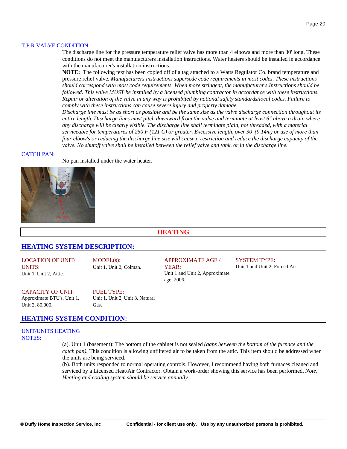#### T.P.R VALVE CONDITION:

The discharge line for the pressure temperature relief valve has more than 4 elbows and more than 30' long. These conditions do not meet the manufacturers installation instructions. Water heaters should be installed in accordance with the manufacturer's installation instructions.

**NOTE:** The following text has been copied off of a tag attached to a Watts Regulator Co. brand temperature and pressure relief valve. *Manufacturers instructions supersede code requirements in most codes. These instructions should correspond with most code requirements. When more stringent, the manufacturer's Instructions should be followed. This valve MUST be installed by a licensed plumbing contractor in accordance with these instructions. Repair or alteration of the valve in any way is prohibited by national safety standards/local codes. Failure to comply with these instructions can cause severe injury and property damage.*

*Discharge line must be as short as possible and be the same size as the valve discharge connection throughout its entire length. Discharge lines must pitch downward from the valve and terminate at least 6" above a drain where any discharge will be clearly visible. The discharge line shall terminate plain, not threaded, with a material serviceable for temperatures of 250 F (121 C) or greater. Excessive length, over 30' (9.14m) or use of more than four elbow's or reducing the discharge line size will cause a restriction and reduce the discharge capacity of the valve. No shutoff valve shall be installed between the relief valve and tank, or in the discharge line.*

#### CATCH PAN:

No pan installed under the water heater.



## **HEATING**

## **HEATING SYSTEM DESCRIPTION:**

LOCATION OF UNIT/ UNITS: Unit 1, Unit 2, Attic.

MODEL(s): Unit 1, Unit 2, Colman.

## APPROXIMATE AGE /

YEAR: Unit 1 and Unit 2, Approximate age, 2006.

# SYSTEM TYPE:

Unit 1 and Unit 2, Forced Air.

CAPACITY OF UNIT: Approximate BTU's, Unit 1, Unit 2, 80,000.

FUEL TYPE: Unit 1, Unit 2, Unit 3, Natural Gas.

## **HEATING SYSTEM CONDITION:**

## UNIT/UNITS HEATING NOTES:

(a). Unit 1 (basement): The bottom of the cabinet is not sealed *(gaps between the bottom of the furnace and the catch pan*). This condition is allowing unfiltered air to be taken from the attic. This item should be addressed when the units are being serviced.

(b). Both units responded to normal operating controls. However, I recommend having both furnaces cleaned and serviced by a Licensed Heat/Air Contractor. Obtain a work-order showing this service has been performed. *Note: Heating and cooling system should be service annually.*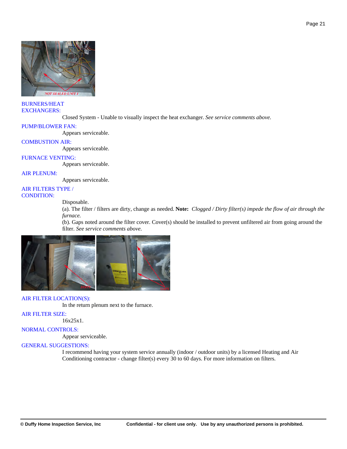

#### BURNERS/HEAT EXCHANGERS:

Closed System - Unable to visually inspect the heat exchanger. *See service comments above.*

#### PUMP/BLOWER FAN:

Appears serviceable.

#### COMBUSTION AIR:

Appears serviceable.

#### FURNACE VENTING:

Appears serviceable.

#### AIR PLENUM:

Appears serviceable.

#### AIR FILTERS TYPE / CONDITION:

#### Disposable.

(a). The filter / filters are dirty, change as needed. **Note:** *Clogged / Dirty filter(s) impede the flow of air through the furnace.* 

(b). Gaps noted around the filter cover. Cover(s) should be installed to prevent unfiltered air from going around the filter. *See service comments above.*



#### AIR FILTER LOCATION(S):

In the return plenum next to the furnace.

#### AIR FILTER SIZE:

16x25x1.

#### NORMAL CONTROLS:

Appear serviceable.

#### GENERAL SUGGESTIONS:

I recommend having your system service annually (indoor / outdoor units) by a licensed Heating and Air Conditioning contractor - change filter(s) every 30 to 60 days. For more information on filters.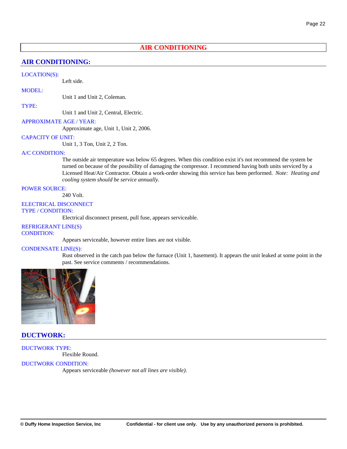## **AIR CONDITIONING**

## **AIR CONDITIONING:**

#### LOCATION(S):

Left side.

MODEL:

Unit 1 and Unit 2, Coleman.

#### TYPE:

Unit 1 and Unit 2, Central, Electric.

#### APPROXIMATE AGE / YEAR:

Approximate age, Unit 1, Unit 2, 2006.

#### CAPACITY OF UNIT:

Unit 1, 3 Ton, Unit 2, 2 Ton.

#### A/C CONDITION:

The outside air temperature was below 65 degrees. When this condition exist it's not recommend the system be turned on because of the possibility of damaging the compressor. I recommend having both units serviced by a Licensed Heat/Air Contractor. Obtain a work-order showing this service has been performed. *Note: Heating and cooling system should be service annually.*

#### POWER SOURCE:

240 Volt.

#### ELECTRICAL DISCONNECT TYPE / CONDITION:

Electrical disconnect present, pull fuse, appears serviceable.

## REFRIGERANT LINE(S)

CONDITION:

Appears serviceable, however entire lines are not visible.

#### CONDENSATE LINE(S):

Rust observed in the catch pan below the furnace (Unit 1, basement). It appears the unit leaked at some point in the past. See service comments / recommendations.



#### **DUCTWORK:**

DUCTWORK TYPE: Flexible Round.

#### DUCTWORK CONDITION:

Appears serviceable *(however not all lines are visible).*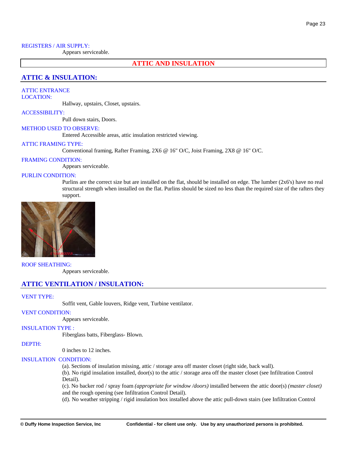#### REGISTERS / AIR SUPPLY:

Appears serviceable.

#### **ATTIC AND INSULATION**

## **ATTIC & INSULATION:**

## ATTIC ENTRANCE

LOCATION:

Hallway, upstairs, Closet, upstairs.

#### ACCESSIBILITY:

Pull down stairs, Doors.

#### METHOD USED TO OBSERVE:

Entered Accessible areas, attic insulation restricted viewing.

#### ATTIC FRAMING TYPE:

Conventional framing, Rafter Framing, 2X6 @ 16" O/C, Joist Framing, 2X8 @ 16" O/C.

#### FRAMING CONDITION:

Appears serviceable.

#### PURLIN CONDITION:

Purlins are the correct size but are installed on the flat, should be installed on edge. The lumber (2x6's) have no real structural strength when installed on the flat. Purlins should be sized no less than the required size of the rafters they support.



#### ROOF SHEATHING:

Appears serviceable.

#### **ATTIC VENTILATION / INSULATION:**

#### VENT TYPE:

Soffit vent, Gable louvers, Ridge vent, Turbine ventilator.

#### VENT CONDITION:

Appears serviceable.

#### INSULATION TYPE :

Fiberglass batts, Fiberglass- Blown.

#### DEPTH:

0 inches to 12 inches.

#### INSULATION CONDITION:

(a). Sections of insulation missing, attic / storage area off master closet (right side, back wall).

(b). No rigid insulation installed, door(s) to the attic / storage area off the master closet (see Infiltration Control Detail).

(c). No backer rod / spray foam *(appropriate for window /doors)* installed between the attic door(s) *(master closet)* and the rough opening (see Infiltration Control Detail).

(d). No weather stripping / rigid insulation box installed above the attic pull-down stairs (see Infiltration Control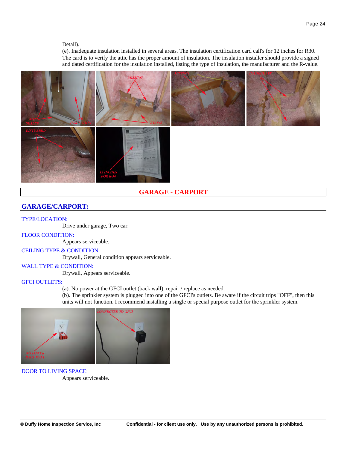#### Detail).

(e). Inadequate insulation installed in several areas. The insulation certification card call's for 12 inches for R30. The card is to verify the attic has the proper amount of insulation. The insulation installer should provide a signed and dated certification for the insulation installed, listing the type of insulation, the manufacturer and the R-value.



## **GARAGE - CARPORT**

## **GARAGE/CARPORT:**

#### TYPE/LOCATION:

Drive under garage, Two car.

#### FLOOR CONDITION:

Appears serviceable.

#### CEILING TYPE & CONDITION:

Drywall, General condition appears serviceable.

#### WALL TYPE & CONDITION:

Drywall, Appears serviceable.

## GFCI OUTLETS:

(a). No power at the GFCI outlet (back wall), repair / replace as needed.

(b). The sprinkler system is plugged into one of the GFCI's outlets. Be aware if the circuit trips "OFF", then this units will not function. I recommend installing a single or special purpose outlet for the sprinkler system.



DOOR TO LIVING SPACE: Appears serviceable.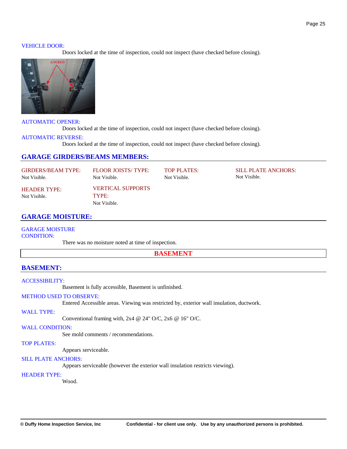#### VEHICLE DOOR:

Doors locked at the time of inspection, could not inspect (have checked before closing).



#### AUTOMATIC OPENER:

Doors locked at the time of inspection, could not inspect (have checked before closing).

#### AUTOMATIC REVERSE:

Doors locked at the time of inspection, could not inspect (have checked before closing).

### **GARAGE GIRDERS/BEAMS MEMBERS:**

| <b>GIRDERS/BEAM TYPE:</b>           | FLOOR JOISTS/TYPE:                                | TOP PLATES:  | SILL PLATE ANCHORS: |
|-------------------------------------|---------------------------------------------------|--------------|---------------------|
| Not Visible.                        | Not Visible.                                      | Not Visible. | Not Visible.        |
| <b>HEADER TYPE:</b><br>Not Visible. | <b>VERTICAL SUPPORTS</b><br>TYPE:<br>Not Visible. |              |                     |

## **GARAGE MOISTURE:**

GARAGE MOISTURE CONDITION:

There was no moisture noted at time of inspection.

**BASEMENT**

## **BASEMENT:**

#### ACCESSIBILITY:

Basement is fully accessible, Basement is unfinished.

#### METHOD USED TO OBSERVE:

Entered Accessible areas. Viewing was restricted by, exterior wall insulation, ductwork.

#### WALL TYPE:

Conventional framing with, 2x4 @ 24" O/C, 2x6 @ 16" O/C.

#### WALL CONDITION:

See mold comments / recommendations.

## TOP PLATES:

Appears serviceable.

#### SILL PLATE ANCHORS:

Appears serviceable (however the exterior wall insulation restricts viewing).

#### HEADER TYPE:

Wood.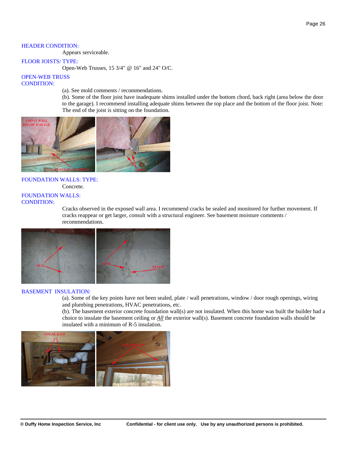#### HEADER CONDITION:

Appears serviceable.

#### FLOOR JOISTS/ TYPE:

Open-Web Trusses, 15 3/4" @ 16" and 24" O/C.

#### OPEN-WEB TRUSS CONDITION:

(a). See mold comments / recommendations.

(b). Some of the floor joist have inadequate shims installed under the bottom chord, back right (area below the door to the garage). I recommend installing adequate shims between the top place and the bottom of the floor joist. Note: The end of the joist is sitting on the foundation.



#### FOUNDATION WALLS: TYPE: Concrete.

## FOUNDATION WALLS:

CONDITION:

Cracks observed in the exposed wall area. I recommend cracks be sealed and monitored for further movement. If cracks reappear or get larger, consult with a structural engineer. See basement moisture comments / recommendations.



#### BASEMENT INSULATION:

(a). Some of the key points have not been sealed, plate / wall penetrations, window / door rough openings, wiring and plumbing penetrations, HVAC penetrations, etc.

(b). The basement exterior concrete foundation wall(s) are not insulated. When this home was built the builder had a choice to insulate the basement ceiling or *All* the exterior wall(s). Basement concrete foundation walls should be insulated with a minimum of R-5 insulation.

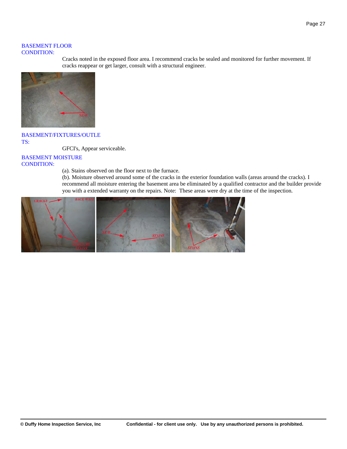#### BASEMENT FLOOR CONDITION:

Cracks noted in the exposed floor area. I recommend cracks be sealed and monitored for further movement. If cracks reappear or get larger, consult with a structural engineer.



## BASEMENT/FIXTURES/OUTLE TS:

GFCI's, Appear serviceable.

## BASEMENT MOISTURE CONDITION:

(a). Stains observed on the floor next to the furnace.

(b). Moisture observed around some of the cracks in the exterior foundation walls (areas around the cracks). I recommend all moisture entering the basement area be eliminated by a qualified contractor and the builder provide you with a extended warranty on the repairs. Note: These areas were dry at the time of the inspection.

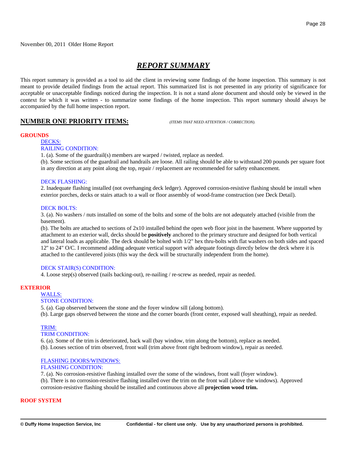## *REPORT SUMMARY*

This report summary is provided as a tool to aid the client in reviewing some findings of the home inspection. This summary is not meant to provide detailed findings from the actual report. This summarized list is not presented in any priority of significance for acceptable or unacceptable findings noticed during the inspection. It is not a stand alone document and should only be viewed in the context for which it was written - to summarize some findings of the home inspection. This report summary should always be accompanied by the full home inspection report.

## **NUMBER ONE PRIORITY ITEMS:** *(ITEMS THAT NEED ATTENTION / CORRECTION).*

#### **GROUNDS**

## DECKS:

## RAILING CONDITION:

1. (a). Some of the guardrail(s) members are warped / twisted, replace as needed.

(b). Some sections of the guardrail and handrails are loose. All railing should be able to withstand 200 pounds per square foot in any direction at any point along the top, repair / replacement are recommended for safety enhancement.

#### DECK FLASHING:

2. Inadequate flashing installed (not overhanging deck ledger). Approved corrosion-resistive flashing should be install when exterior porches, decks or stairs attach to a wall or floor assembly of wood-frame construction (see Deck Detail).

#### DECK BOLTS:

3. (a). No washers / nuts installed on some of the bolts and some of the bolts are not adequately attached (visible from the basement).

(b). The bolts are attached to sections of 2x10 installed behind the open web floor joist in the basement. Where supported by attachment to an exterior wall, decks should be **positively** anchored to the primary structure and designed for both vertical and lateral loads as applicable. The deck should be bolted with 1/2" hex thru-bolts with flat washers on both sides and spaced 12'' to 24" O/C. I recommend adding adequate vertical support with adequate footings directly below the deck where it is attached to the cantilevered joists (this way the deck will be structurally independent from the home).

#### DECK STAIR(S) CONDITION:

4. Loose step(s) observed (nails backing-out), re-nailing / re-screw as needed, repair as needed.

#### **EXTERIOR**

#### WALLS:

#### STONE CONDITION:

5. (a). Gap observed between the stone and the foyer window sill (along bottom). (b). Large gaps observed between the stone and the corner boards (front center, exposed wall sheathing), repair as needed.

#### TRIM:

#### TRIM CONDITION:

6. (a). Some of the trim is deteriorated, back wall (bay window, trim along the bottom), replace as needed. (b). Looses section of trim observed, front wall (trim above front right bedroom window), repair as needed.

#### FLASHING DOORS/WINDOWS:

#### FLASHING CONDITION:

7. (a). No corrosion-resistive flashing installed over the some of the windows, front wall (foyer window). (b). There is no corrosion-resistive flashing installed over the trim on the front wall (above the windows). Approved corrosion-resistive flashing should be installed and continuous above all **projection wood trim.**

#### **ROOF SYSTEM**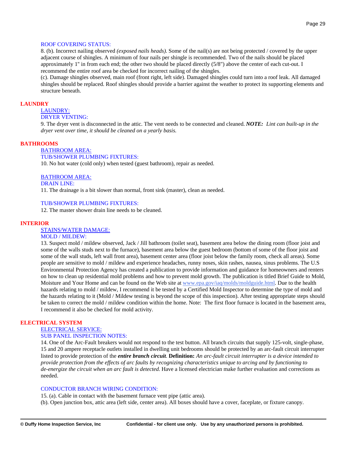#### ROOF COVERING STATUS:

8. (b). Incorrect nailing observed *(exposed nails heads)*. Some of the nail(s) are not being protected / covered by the upper adjacent course of shingles. A minimum of four nails per shingle is recommended. Two of the nails should be placed approximately 1'' in from each end; the other two should be placed directly (5/8") above the center of each cut-out. I recommend the entire roof area be checked for incorrect nailing of the shingles.

(c). Damage shingles observed, main roof (front right, left side). Damaged shingles could turn into a roof leak. All damaged shingles should be replaced. Roof shingles should provide a barrier against the weather to protect its supporting elements and structure beneath.

## **LAUNDRY**

## LAUNDRY:

## DRYER VENTING:

9. The dryer vent is disconnected in the attic. The vent needs to be connected and cleaned. *NOTE: Lint can built-up in the dryer vent over time, it should be cleaned on a yearly basis.*

#### **BATHROOMS**

BATHROOM AREA: TUB/SHOWER PLUMBING FIXTURES: 10. No hot water (cold only) when tested (guest bathroom), repair as needed.

#### BATHROOM AREA:

DRAIN LINE:

11. The drainage is a bit slower than normal, front sink (master), clean as needed.

#### TUB/SHOWER PLUMBING FIXTURES:

12. The master shower drain line needs to be cleaned.

#### **INTERIOR**

#### STAINS/WATER DAMAGE:

#### MOLD / MILDEW:

13. Suspect mold / mildew observed, Jack / Jill bathroom (toilet seat), basement area below the dining room (floor joist and some of the walls studs next to the furnace), basement area below the guest bedroom (bottom of some of the floor joist and some of the wall studs, left wall front area), basement center area (floor joist below the family room, check all areas). Some people are sensitive to mold / mildew and experience headaches, runny noses, skin rashes, nausea, sinus problems. The U.S Environmental Protection Agency has created a publication to provide information and guidance for homeowners and renters on how to clean up residential mold problems and how to prevent mold growth. The publication is titled Brief Guide to Mold, Moisture and Your Home and can be found on the Web site at [www.epa.gov/iaq/molds/moldguide.html](http://www.epa.gov/iaq/molds/moldguide.html). Due to the health hazards relating to mold / mildew, I recommend it be tested by a Certified Mold Inspector to determine the type of mold and the hazards relating to it (Mold / Mildew testing is beyond the scope of this inspection). After testing appropriate steps should be taken to correct the mold / mildew condition within the home. Note: The first floor furnace is located in the basement area, I recommend it also be checked for mold activity.

#### **ELECTRICAL SYSTEM**

ELECTRICAL SERVICE:

### SUB PANEL INSPECTION NOTES:

14. One of the Arc-Fault breakers would not respond to the test button. All branch circuits that supply 125-volt, single-phase, 15 and 20 ampere receptacle outlets installed in dwelling unit bedrooms should be protected by an arc-fault circuit interrupter listed to provide protection of the *entire branch circuit*. **Definition:** *An arc-fault circuit interrupter is a device intended to provide protection from the effects of arc faults by recognizing characteristics unique to arcing and by functioning to de-energize the circuit when an arc fault is detected.* Have a licensed electrician make further evaluation and corrections as needed.

#### CONDUCTOR BRANCH WIRING CONDITION:

15. (a). Cable in contact with the basement furnace vent pipe (attic area).

(b). Open junction box, attic area (left side, center area). All boxes should have a cover, faceplate, or fixture canopy.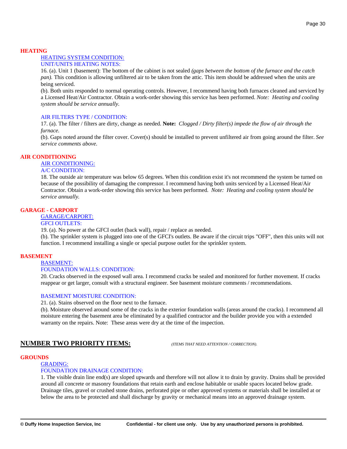#### **HEATING**

#### HEATING SYSTEM CONDITION: UNIT/UNITS HEATING NOTES:

16. (a). Unit 1 (basement): The bottom of the cabinet is not sealed *(gaps between the bottom of the furnace and the catch pan*). This condition is allowing unfiltered air to be taken from the attic. This item should be addressed when the units are being serviced.

(b). Both units responded to normal operating controls. However, I recommend having both furnaces cleaned and serviced by a Licensed Heat/Air Contractor. Obtain a work-order showing this service has been performed. *Note: Heating and cooling system should be service annually.*

## AIR FILTERS TYPE / CONDITION:

17. (a). The filter / filters are dirty, change as needed. **Note:** *Clogged / Dirty filter(s) impede the flow of air through the furnace.* 

(b). Gaps noted around the filter cover. Cover(s) should be installed to prevent unfiltered air from going around the filter. *See service comments above.*

#### **AIR CONDITIONING**

AIR CONDITIONING:

#### A/C CONDITION:

18. The outside air temperature was below 65 degrees. When this condition exist it's not recommend the system be turned on because of the possibility of damaging the compressor. I recommend having both units serviced by a Licensed Heat/Air Contractor. Obtain a work-order showing this service has been performed. *Note: Heating and cooling system should be service annually.*

## **GARAGE - CARPORT**

#### GARAGE/CARPORT:

#### GFCI OUTLETS:

19. (a). No power at the GFCI outlet (back wall), repair / replace as needed.

(b). The sprinkler system is plugged into one of the GFCI's outlets. Be aware if the circuit trips "OFF", then this units will not function. I recommend installing a single or special purpose outlet for the sprinkler system.

#### **BASEMENT**

#### BASEMENT:

#### FOUNDATION WALLS: CONDITION:

20. Cracks observed in the exposed wall area. I recommend cracks be sealed and monitored for further movement. If cracks reappear or get larger, consult with a structural engineer. See basement moisture comments / recommendations.

#### BASEMENT MOISTURE CONDITION:

21. (a). Stains observed on the floor next to the furnace.

(b). Moisture observed around some of the cracks in the exterior foundation walls (areas around the cracks). I recommend all moisture entering the basement area be eliminated by a qualified contractor and the builder provide you with a extended warranty on the repairs. Note: These areas were dry at the time of the inspection.

## **NUMBER TWO PRIORITY ITEMS:** *(ITEMS THAT NEED ATTENTION / CORRECTION).*

#### **GROUNDS**

#### GRADING: FOUNDATION DRAINAGE CONDITION:

1. The visible drain line end(s) are sloped upwards and therefore will not allow it to drain by gravity. Drains shall be provided around all concrete or masonry foundations that retain earth and enclose habitable or usable spaces located below grade. Drainage tiles, gravel or crushed stone drains, perforated pipe or other approved systems or materials shall be installed at or below the area to be protected and shall discharge by gravity or mechanical means into an approved drainage system.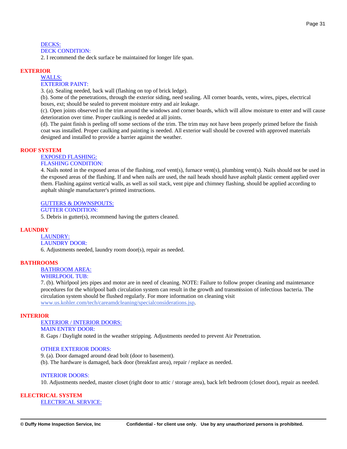#### DECKS: DECK CONDITION:

2. I recommend the deck surface be maintained for longer life span.

#### **EXTERIOR**

#### WALLS:

#### EXTERIOR PAINT:

3. (a). Sealing needed, back wall (flashing on top of brick ledge).

(b). Some of the penetrations, through the exterior siding, need sealing. All corner boards, vents, wires, pipes, electrical boxes, ext; should be sealed to prevent moisture entry and air leakage.

(c). Open joints observed in the trim around the windows and corner boards, which will allow moisture to enter and will cause deterioration over time. Proper caulking is needed at all joints.

(d). The paint finish is peeling off some sections of the trim. The trim may not have been properly primed before the finish coat was installed. Proper caulking and painting is needed. All exterior wall should be covered with approved materials designed and installed to provide a barrier against the weather.

#### **ROOF SYSTEM**

## EXPOSED FLASHING:

## FLASHING CONDITION:

4. Nails noted in the exposed areas of the flashing, roof vent(s), furnace vent(s), plumbing vent(s). Nails should not be used in the exposed areas of the flashing. If and when nails are used, the nail heads should have asphalt plastic cement applied over them. Flashing against vertical walls, as well as soil stack, vent pipe and chimney flashing, should be applied according to asphalt shingle manufacturer's printed instructions.

#### GUTTERS & DOWNSPOUTS:

#### GUTTER CONDITION:

5. Debris in gutter(s), recommend having the gutters cleaned.

#### **LAUNDRY**

#### LAUNDRY: LAUNDRY DOOR:

6. Adjustments needed, laundry room door(s), repair as needed.

#### **BATHROOMS**

## BATHROOM AREA:

## WHIRLPOOL TUB:

7. (b). Whirlpool jets pipes and motor are in need of cleaning. NOTE: Failure to follow proper cleaning and maintenance procedures for the whirlpool bath circulation system can result in the growth and transmission of infectious bacteria. The circulation system should be flushed regularly. For more information on cleaning visit [www.us.kohler.com/tech/careamdcleaning/specialconsiderations.jsp](http://www.us.kohler.com/tech/careamdcleaning/specialconsiderations.jsp).

#### **INTERIOR**

#### EXTERIOR / INTERIOR DOORS:

MAIN ENTRY DOOR:

8. Gaps / Daylight noted in the weather stripping. Adjustments needed to prevent Air Penetration.

#### OTHER EXTERIOR DOORS:

9. (a). Door damaged around dead bolt (door to basement). (b). The hardware is damaged, back door (breakfast area), repair / replace as needed.

#### INTERIOR DOORS:

10. Adjustments needed, master closet (right door to attic / storage area), back left bedroom (closet door), repair as needed.

#### **ELECTRICAL SYSTEM**

#### ELECTRICAL SERVICE: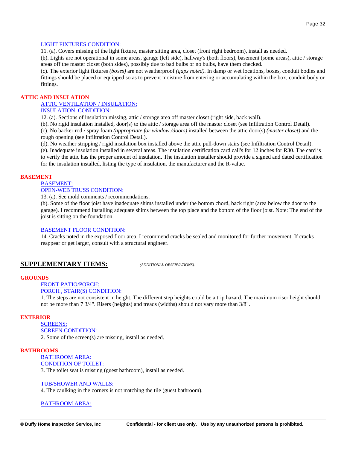#### LIGHT FIXTURES CONDITION:

11. (a). Covers missing of the light fixture, master sitting area, closet (front right bedroom), install as needed.

(b). Lights are not operational in some areas, garage (left side), hallway's (both floors), basement (some areas), attic / storage areas off the master closet (both sides), possibly due to bad bulbs or no bulbs, have them checked.

(c). The exterior light fixtures *(boxes)* are not weatherproof *(gaps noted)*. In damp or wet locations, boxes, conduit bodies and fittings should be placed or equipped so as to prevent moisture from entering or accumulating within the box, conduit body or fittings.

#### **ATTIC AND INSULATION**

#### ATTIC VENTILATION / INSULATION:

#### INSULATION CONDITION:

12. (a). Sections of insulation missing, attic / storage area off master closet (right side, back wall).

(b). No rigid insulation installed, door(s) to the attic / storage area off the master closet (see Infiltration Control Detail).

(c). No backer rod / spray foam *(appropriate for window /doors)* installed between the attic door(s) *(master closet)* and the rough opening (see Infiltration Control Detail).

(d). No weather stripping / rigid insulation box installed above the attic pull-down stairs (see Infiltration Control Detail).

(e). Inadequate insulation installed in several areas. The insulation certification card call's for 12 inches for R30. The card is to verify the attic has the proper amount of insulation. The insulation installer should provide a signed and dated certification for the insulation installed, listing the type of insulation, the manufacturer and the R-value.

#### **BASEMENT**

#### BASEMENT:

#### OPEN-WEB TRUSS CONDITION:

13. (a). See mold comments / recommendations.

(b). Some of the floor joist have inadequate shims installed under the bottom chord, back right (area below the door to the garage). I recommend installing adequate shims between the top place and the bottom of the floor joist. Note: The end of the joist is sitting on the foundation.

#### BASEMENT FLOOR CONDITION:

14. Cracks noted in the exposed floor area. I recommend cracks be sealed and monitored for further movement. If cracks reappear or get larger, consult with a structural engineer.

## **SUPPLEMENTARY ITEMS:** *(ADDITIONAL OBSERVATIONS).*

#### **GROUNDS**

#### FRONT PATIO/PORCH: PORCH , STAIR(S) CONDITION:

1. The steps are not consistent in height. The different step heights could be a trip hazard. The maximum riser height should not be more than 7 3/4". Risers (heights) and treads (widths) should not vary more than 3/8".

#### **EXTERIOR**

#### SCREENS: SCREEN CONDITION:

2. Some of the screen(s) are missing, install as needed.

#### **BATHROOMS**

## BATHROOM AREA:

CONDITION OF TOILET:

3. The toilet seat is missing (guest bathroom), install as needed.

#### TUB/SHOWER AND WALLS:

4. The caulking in the corners is not matching the tile (guest bathroom).

#### BATHROOM AREA: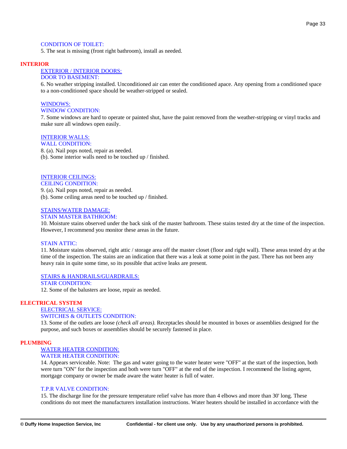#### CONDITION OF TOILET:

5. The seat is missing (front right bathroom), install as needed.

#### **INTERIOR**

#### EXTERIOR / INTERIOR DOORS:

#### DOOR TO BASEMENT:

6. No weather stripping installed. Unconditioned air can enter the conditioned apace. Any opening from a conditioned space to a non-conditioned space should be weather-stripped or sealed.

## WINDOWS:

### WINDOW CONDITION:

7. Some windows are hard to operate or painted shut, have the paint removed from the weather-stripping or vinyl tracks and make sure all windows open easily.

## INTERIOR WALLS:

WALL CONDITION:

8. (a). Nail pops noted, repair as needed. (b). Some interior walls need to be touched up / finished.

#### INTERIOR CEILINGS: CEILING CONDITION:

9. (a). Nail pops noted, repair as needed. (b). Some ceiling areas need to be touched up / finished.

#### STAINS/WATER DAMAGE:

#### STAIN MASTER BATHROOM:

10. Moisture stains observed under the back sink of the master bathroom. These stains tested dry at the time of the inspection. However, I recommend you monitor these areas in the future.

#### STAIN ATTIC:

11. Moisture stains observed, right attic / storage area off the master closet (floor and right wall). These areas tested dry at the time of the inspection. The stains are an indication that there was a leak at some point in the past. There has not been any heavy rain in quite some time, so its possible that active leaks are present.

#### STAIRS & HANDRAILS/GUARDRAILS:

#### STAIR CONDITION:

12. Some of the balusters are loose*,* repair as needed.

#### **ELECTRICAL SYSTEM**

## ELECTRICAL SERVICE:

#### SWITCHES & OUTLETS CONDITION:

13. Some of the outlets are loose *(check all areas)*. Receptacles should be mounted in boxes or assemblies designed for the purpose, and such boxes or assemblies should be securely fastened in place.

#### **PLUMBING**

## WATER HEATER CONDITION:

#### WATER HEATER CONDITION:

14. Appears serviceable. Note: The gas and water going to the water heater were "OFF" at the start of the inspection, both were turn "ON" for the inspection and both were turn "OFF" at the end of the inspection. I recommend the listing agent, mortgage company or owner be made aware the water heater is full of water.

#### T.P.R VALVE CONDITION:

15. The discharge line for the pressure temperature relief valve has more than 4 elbows and more than 30' long. These conditions do not meet the manufacturers installation instructions. Water heaters should be installed in accordance with the